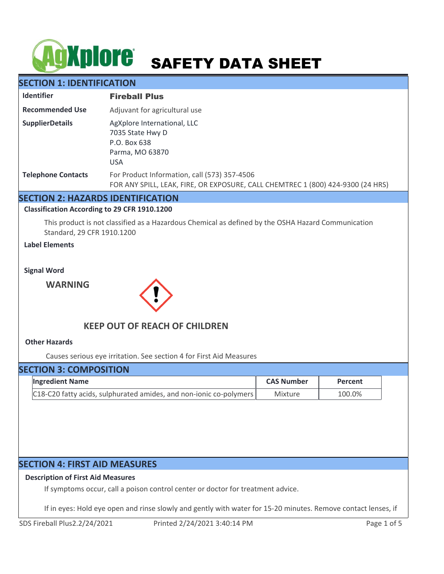# **AGXPIOIC** SAFETY DATA SHEET

# **SECTION 1: IDENTIFICATION**

| <b>Identifier</b>         | <b>Fireball Plus</b>                                                                                                            |
|---------------------------|---------------------------------------------------------------------------------------------------------------------------------|
| <b>Recommended Use</b>    | Adjuvant for agricultural use                                                                                                   |
| <b>SupplierDetails</b>    | AgXplore International, LLC<br>7035 State Hwy D<br>P.O. Box 638<br>Parma, MO 63870<br><b>USA</b>                                |
| <b>Telephone Contacts</b> | For Product Information, call (573) 357-4506<br>FOR ANY SPILL, LEAK, FIRE, OR EXPOSURE, CALL CHEMTREC 1 (800) 424-9300 (24 HRS) |

# **SECTION 2: HAZARDS IDENTIFICATION**

## **Classification According to 29 CFR 1910.1200**

This product is not classified as a Hazardous Chemical as defined by the OSHA Hazard Communication Standard, 29 CFR 1910.1200

# **Label Elements**

#### **Signal Word**

**WARNING**



# **KEEP OUT OF REACH OF CHILDREN**

## **Other Hazards**

Causes serious eye irritation. See section 4 for First Aid Measures

# **SECTION 3: COMPOSITION**

| <b>Ingredient Name</b>                                                     | <b>CAS Number</b> | Percent |
|----------------------------------------------------------------------------|-------------------|---------|
| $\vert$ C18-C20 fatty acids, sulphurated amides, and non-ionic co-polymers | Mixture           | 100.0%  |

# **SECTION 4: FIRST AID MEASURES**

## **Description of First Aid Measures**

If symptoms occur, call a poison control center or doctor for treatment advice.

If in eyes: Hold eye open and rinse slowly and gently with water for 15-20 minutes. Remove contact lenses, if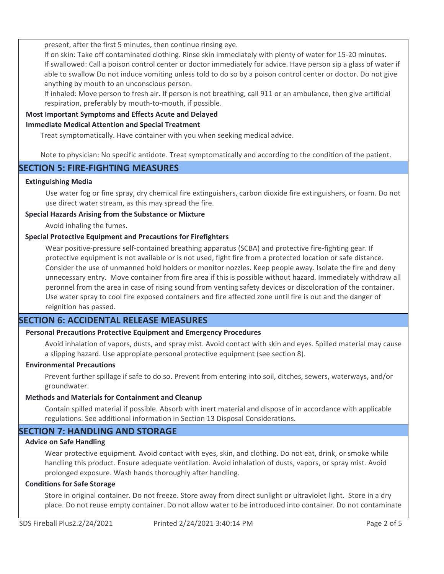present, after the first 5 minutes, then continue rinsing eye.

If on skin: Take off contaminated clothing. Rinse skin immediately with plenty of water for 15-20 minutes. If swallowed: Call a poison control center or doctor immediately for advice. Have person sip a glass of water if able to swallow Do not induce vomiting unless told to do so by a poison control center or doctor. Do not give anything by mouth to an unconscious person.

If inhaled: Move person to fresh air. If person is not breathing, call 911 or an ambulance, then give artificial respiration, preferably by mouth-to-mouth, if possible.

# **Most Important Symptoms and Effects Acute and Delayed**

## **Immediate Medical Attention and Special Treatment**

Treat symptomatically. Have container with you when seeking medical advice.

Note to physician: No specific antidote. Treat symptomatically and according to the condition of the patient.

# **SECTION 5: FIRE-FIGHTING MEASURES**

## **Extinguishing Media**

Use water fog or fine spray, dry chemical fire extinguishers, carbon dioxide fire extinguishers, or foam. Do not use direct water stream, as this may spread the fire.

## **Special Hazards Arising from the Substance or Mixture**

Avoid inhaling the fumes.

## **Special Protective Equipment and Precautions for Firefighters**

Wear positive-pressure self-contained breathing apparatus (SCBA) and protective fire-fighting gear. If protective equipment is not available or is not used, fight fire from a protected location or safe distance. Consider the use of unmanned hold holders or monitor nozzles. Keep people away. Isolate the fire and deny unnecessary entry. Move container from fire area if this is possible without hazard. Immediately withdraw all peronnel from the area in case of rising sound from venting safety devices or discoloration of the container. Use water spray to cool fire exposed containers and fire affected zone until fire is out and the danger of reignition has passed.

# **SECTION 6: ACCIDENTAL RELEASE MEASURES**

# **Personal Precautions Protective Equipment and Emergency Procedures**

Avoid inhalation of vapors, dusts, and spray mist. Avoid contact with skin and eyes. Spilled material may cause a slipping hazard. Use appropiate personal protective equipment (see section 8).

## **Environmental Precautions**

Prevent further spillage if safe to do so. Prevent from entering into soil, ditches, sewers, waterways, and/or groundwater.

## **Methods and Materials for Containment and Cleanup**

Contain spilled material if possible. Absorb with inert material and dispose of in accordance with applicable regulations. See additional information in Section 13 Disposal Considerations.

# **SECTION 7: HANDLING AND STORAGE**

## **Advice on Safe Handling**

Wear protective equipment. Avoid contact with eyes, skin, and clothing. Do not eat, drink, or smoke while handling this product. Ensure adequate ventilation. Avoid inhalation of dusts, vapors, or spray mist. Avoid prolonged exposure. Wash hands thoroughly after handling.

## **Conditions for Safe Storage**

Store in original container. Do not freeze. Store away from direct sunlight or ultraviolet light. Store in a dry place. Do not reuse empty container. Do not allow water to be introduced into container. Do not contaminate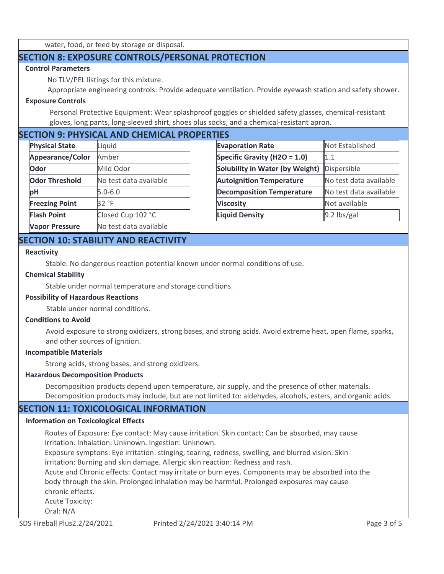water, food, or feed by storage or disposal.

# **SECTION 8: EXPOSURE CONTROLS/PERSONAL PROTECTION**

## **Control Parameters**

No TLV/PEL listings for this mixture.

Appropriate engineering controls: Provide adequate ventilation. Provide eyewash station and safety shower.

## **Exposure Controls**

Personal Protective Equipment: Wear splashproof goggles or shielded safety glasses, chemical-resistant gloves, long pants, long-sleeved shirt, shoes plus socks, and a chemical-resistant apron.

# **SECTION 9: PHYSICAL AND CHEMICAL PROPERTIES**

| <b>Physical State</b> | Liquid                 | <b>Evaporation Rate</b>    |
|-----------------------|------------------------|----------------------------|
| Appearance/Color      | Amber                  | <b>Specific Gravity (H</b> |
| Odor                  | Mild Odor              | Solubility in Wate         |
| <b>Odor Threshold</b> | No test data available | <b>Autoignition Tem</b>    |
| рH                    | $5.0 - 6.0$            | <b>Decomposition Te</b>    |
| <b>Freezing Point</b> | 32 °F                  | <b>Viscosity</b>           |
| <b>Flash Point</b>    | Closed Cup 102 °C      | <b>Liquid Density</b>      |
| <b>Vapor Pressure</b> | No test data available |                            |

| .                                      |                        |
|----------------------------------------|------------------------|
| <b>Evaporation Rate</b>                | Not Established        |
| Specific Gravity (H2O = 1.0)           | 1.1                    |
| <b>Solubility in Water (by Weight)</b> | Dispersible            |
| <b>Autoignition Temperature</b>        | No test data available |
| <b>Decomposition Temperature</b>       | No test data available |
| <b>Viscosity</b>                       | Not available          |
| <b>Liquid Density</b>                  | 9.2 lbs/gal            |

# **SECTION 10: STABILITY AND REACTIVITY**

#### **Reactivity**

Stable. No dangerous reaction potential known under normal conditions of use.

#### **Chemical Stability**

Stable under normal temperature and storage conditions.

## **Possibility of Hazardous Reactions**

Stable under normal conditions.

#### **Conditions to Avoid**

Avoid exposure to strong oxidizers, strong bases, and strong acids. Avoid extreme heat, open flame, sparks, and other sources of ignition.

#### **Incompatible Materials**

Strong acids, strong bases, and strong oxidizers.

## **Hazardous Decomposition Products**

Decomposition products depend upon temperature, air supply, and the presence of other materials. Decomposition products may include, but are not limited to: aldehydes, alcohols, esters, and organic acids.

# **SECTION 11: TOXICOLOGICAL INFORMATION**

## **Information on Toxicological Effects**

Routes of Exposure: Eye contact: May cause irritation. Skin contact: Can be absorbed, may cause irritation. Inhalation: Unknown. Ingestion: Unknown.

Exposure symptons: Eye irritation: stinging, tearing, redness, swelling, and blurred vision. Skin irritation: Burning and skin damage. Allergic skin reaction: Redness and rash.

Acute and Chronic effects: Contact may irritate or burn eyes. Components may be absorbed into the body through the skin. Prolonged inhalation may be harmful. Prolonged exposures may cause chronic effects.

Acute Toxicity:

Oral: N/A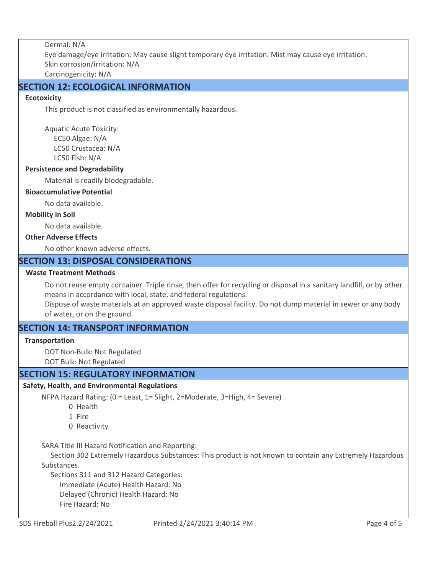Dermal: N/A Eye damage/eye irritation: May cause slight temporary eye irritation. Mist may cause eye irritation. Skin corrosion/irritation: N/A Carcinogenicity: N/A

# **SECTION 12: ECOLOGICAL INFORMATION**

## **Ecotoxicity**

This product is not classified as environmentally hazardous.

Aquatic Acute Toxicity: EC50 Algae: N/A LC50 Crustacea: N/A LC50 Fish: N/A

## **Persistence and Degradability**

Material is readily biodegradable.

## **Bioaccumulative Potential**

No data available.

#### **Mobility in Soil**

No data available.

# **Other Adverse Effects**

No other known adverse effects.

# **SECTION 13: DISPOSAL CONSIDERATIONS**

## **Waste Treatment Methods**

Do not reuse empty container. Triple rinse, then offer for recycling or disposal in a sanitary landfill, or by other means in accordance with local, state, and federal regulations.

Dispose of waste materials at an approved waste disposal facility. Do not dump material in sewer or any body of water, or on the ground.

# **SECTION 14: TRANSPORT INFORMATION**

## **Transportation**

DOT Non-Bulk: Not Regulated

DOT Bulk: Not Regulated

# **SECTION 15: REGULATORY INFORMATION**

# **Safety, Health, and Environmental Regulations**

NFPA Hazard Rating: (0 = Least, 1= Slight, 2=Moderate, 3=High, 4= Severe)

- 0 Health
- 1 Fire
- 0 Reactivity

SARA Title III Hazard Notification and Reporting:

 Section 302 Extremely Hazardous Substances: This product is not known to contain any Extremely Hazardous Substances.

Sections 311 and 312 Hazard Categories:

Immediate (Acute) Health Hazard: No

Delayed (Chronic) Health Hazard: No

Fire Hazard: No